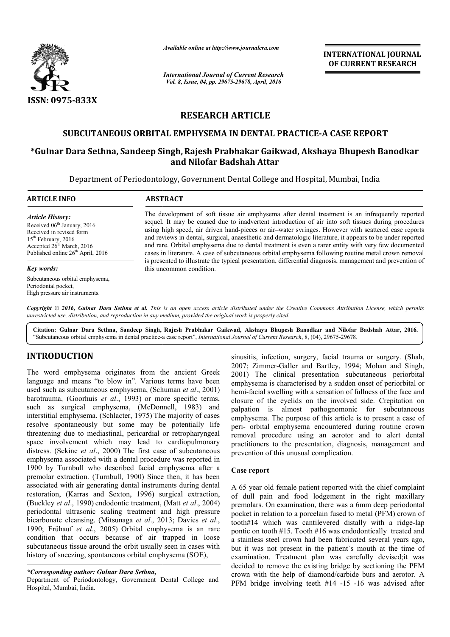

*Available online at http://www.journalcra.com*

*International Journal of Current Research Vol. 8, Issue, 04, pp. 29675-29678, April, 2016*

**INTERNATIONAL JOURNAL OF CURRENT RESEARCH** 

# **RESEARCH ARTICLE**

### **SUBCUTANEOUS ORBITAL EMPHYSEMA IN DENTAL PRACTICE PRACTICE-A CASE REPORT A**

## **\*Gulnar Dara Sethna, Sandeep Singh, Singh,Rajesh Prabhakar Gaikwad, Akshaya Bhupesh Banodkar and Nilofar Badshah Attar**

Department of Periodontology, Government Dental College and Hospital, Mumbai, India

| <b>ARTICLE INFO</b>                                                                                                                                                                            | <b>ABSTRACT</b>                                                                                                                                                                                                                                                                                                                                                                                                                                                                                                                                                                                                                          |
|------------------------------------------------------------------------------------------------------------------------------------------------------------------------------------------------|------------------------------------------------------------------------------------------------------------------------------------------------------------------------------------------------------------------------------------------------------------------------------------------------------------------------------------------------------------------------------------------------------------------------------------------------------------------------------------------------------------------------------------------------------------------------------------------------------------------------------------------|
| <b>Article History:</b><br>Received 06 <sup>th</sup> January, 2016<br>Received in revised form<br>$15th$ February, 2016<br>Accepted $26th March$ , 2016<br>Published online $26th$ April, 2016 | The development of soft tissue air emphysema after dental treatment is an infrequently reported<br>sequel. It may be caused due to inadvertent introduction of air into soft tissues during procedures<br>using high speed, air driven hand-pieces or air-water syringes. However with scattered case reports<br>and reviews in dental, surgical, anaesthetic and dermatologic literature, it appears to be under reported<br>and rare. Orbital emphysema due to dental treatment is even a rarer entity with very few documented<br>cases in literature. A case of subcutaneous orbital emphysema following routine metal crown removal |
| Key words:                                                                                                                                                                                     | is presented to illustrate the typical presentation, differential diagnosis, management and prevention of<br>this uncommon condition.                                                                                                                                                                                                                                                                                                                                                                                                                                                                                                    |
| Subcutaneous orbital emphysema,<br>Periodontal pocket,                                                                                                                                         |                                                                                                                                                                                                                                                                                                                                                                                                                                                                                                                                                                                                                                          |

Copyright © 2016, Gulnar Dara Sethna et al. This is an open access article distributed under the Creative Commons Attribution License, which permits *unrestricted use, distribution, and reproduction in any medium, provided the original work is properly cited.*

**Citation: Gulnar Dara Sethna, Sandeep Singh, Rajesh Prabhakar Gaikwad, Akshaya Bhupesh Banodkar and Nilofar Badshah Attar Gaikwad, Nilofar Attar, 2016.** "Subcutaneous orbital emphysema in dental practice-a case report", *International Journal of Current Research*, 8, (04), 29675-29678.

# **INTRODUCTION**

High pressure air instruments.

The word emphysema originates from the ancient Greek language and means "to blow in". Various terms have been used such as subcutaneous emphysema, (Schuman et al., 2001) barotrauma, (Goorhuis *et al*., 1993) or more specific terms, such as surgical emphysema, (McDonnell, 1983) and interstitial emphysema. (Schlacter, 1975) The majority of cases resolve spontaneously but some may be potentially life threatening due to mediastinal, pericardial or retropharyngeal space involvement which may lead to cardiopulmonary distress. (Sekine *et al*., 2000) The first case of subcutaneous emphysema associated with a dental procedure was reported in 1900 by Turnbull who described facial emphysema after a premolar extraction. (Turnbull, 1900) Since then, it has been associated with air generating dental instruments during dental restoration, (Karras and Sexton, 1996) surgical extraction, (Buckley *et al*., 1990) endodontic treatment, periodontal ultrasonic scaling treatment and high pressure bicarbonate cleansing. (Mitsunaga *et al*., 2013; Davies *et al*., 1990; Frühauf *et al*., 2005) Orbital emphysema is an rare condition that occurs because of air trapped in loose subcutaneous tissue around the orbit usually seen in cases with subcutaneous tissue around the orbit usually seen in cases w<br>history of sneezing, spontaneous orbital emphysema (SOE), diastinal, pericardial or retropharyngeal<br>which may lead to cardiopulmonary<br>., 2000) The first case of subcutaneous<br>with a dental procedure was reported in<br>o described facial emphysema after a<br>Turnbull, 1900) Since then, i

sinusitis, infection, surgery, facial trauma or surgery. (Shah, 2007; Zimmer-Galler and Bartley, 1994; Mohan and Singh, 2001) The clinical presentation subcutaneous periorbital emphysema is characterised by a sudden onset of periorbital or hemi-facial swelling with a sensation of fullness of the face and closure of the eyelids on the involved side. Crepitation on palpation is almost pathognomonic for subcutaneous emphysema. The purpose of this article is to present a case of peri- orbital emphysema encountered during removal procedure using an aerotor and to alert dental removal procedure using an aerotor and to alert dental practitioners to the presentation, diagnosis, management and prevention of this unusual complication. ng with a sensation of fullness of the face and<br>yelids on the involved side. Crepitation on<br>lmost pathognomonic for subcutaneous<br>purpose of this article is to present a case of<br>hhysema encountered during routine crown

### **Case report**

A 65 year old female patient reported with the chief complaint of dull pain and food lodgement in the right maxillary premolars. On examination, there was a 6mm deep periodontal pocket in relation to a porcelain fused to metal (PFM) crown of tooth#14 which was cantilevered distally with a ridge pontic on tooth #15. Tooth #16 was endodontically treated and pontic on tooth #15. Tooth #16 was endodontically treated and<br>a stainless steel crown had been fabricated several years ago, but it was not present in the patient`s mouth at the time of examination. Treatment plan was carefully devised;it was decided to remove the existing bridge by sectioning the PFM crown with the help of diamond/carbide burs and aerotor. A PFM bridge involving teeth #14 -15 -16 was advised after year old female patient reported with the chief complaint<br>ill pain and food lodgement in the right maxillary<br>plars. On examination, there was a 6mm deep periodontal<br>t in relation to a porcelain fused to metal (PFM) crown o but it was not present in the patient's mouth at the time of examination. Treatment plan was carefully devised;it was decided to remove the existing bridge by sectioning the PFM crown with the help of diamond/carbide burs

*<sup>\*</sup>Corresponding author: Gulnar Dara Sethna,*

Department of Periodontology, Government Dental College and Hospital, Mumbai, India.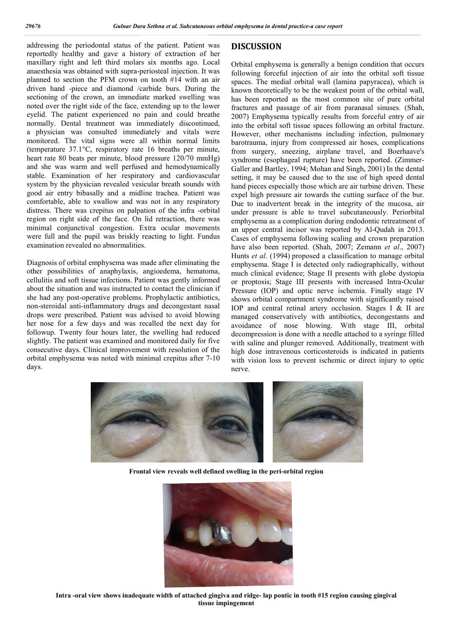addressing the periodontal status of the patient. Patient was reportedly healthy and gave a history of extraction of her maxillary right and left third molars six months ago. Local anaesthesia was obtained with supra-periosteal injection. It was planned to section the PFM crown on tooth #14 with an air driven hand -piece and diamond /carbide burs. During the sectioning of the crown, an immediate marked swelling was noted over the right side of the face, extending up to the lower eyelid. The patient experienced no pain and could breathe normally. Dental treatment was immediately discontinued, a physician was consulted immediately and vitals were monitored. The vital signs were all within normal limits (temperature 37.1°C, respiratory rate 16 breaths per minute, heart rate 80 beats per minute, blood pressure 120/70 mmHg) and she was warm and well perfused and hemodynamically stable. Examination of her respiratory and cardiovascular system by the physician revealed vesicular breath sounds with good air entry bibasally and a midline trachea. Patient was comfortable, able to swallow and was not in any respiratory distress. There was crepitus on palpation of the infra -orbital region on right side of the face. On lid retraction, there was minimal conjunctival congestion. Extra ocular movements were full and the pupil was briskly reacting to light. Fundus examination revealed no abnormalities.

Diagnosis of orbital emphysema was made after eliminating the other possibilities of anaphylaxis, angioedema, hematoma, cellulitis and soft tissue infections. Patient was gently informed about the situation and was instructed to contact the clinician if she had any post-operative problems. Prophylactic antibiotics, non-steroidal anti-inflammatory drugs and decongestant nasal drops were prescribed. Patient was advised to avoid blowing her nose for a few days and was recalled the next day for followup. Twenty four hours later, the swelling had reduced slightly. The patient was examined and monitored daily for five consecutive days. Clinical improvement with resolution of the orbital emphysema was noted with minimal crepitus after 7-10 days.

#### **DISCUSSION**

Orbital emphysema is generally a benign condition that occurs following forceful injection of air into the orbital soft tissue spaces. The medial orbital wall (lamina papyracea), which is known theoretically to be the weakest point of the orbital wall, has been reported as the most common site of pure orbital fractures and passage of air from paranasal sinuses. (Shah, 2007) Emphysema typically results from forceful entry of air into the orbital soft tissue spaces following an orbital fracture. However, other mechanisms including infection, pulmonary barotrauma, injury from compressed air hoses, complications from surgery, sneezing, airplane travel, and Boerhaave's syndrome (esophageal rupture) have been reported. (Zimmer-Galler and Bartley, 1994; Mohan and Singh, 2001) In the dental setting, it may be caused due to the use of high speed dental hand pieces especially those which are air turbine driven. These expel high pressure air towards the cutting surface of the bur. Due to inadvertent break in the integrity of the mucosa, air under pressure is able to travel subcutaneously. Periorbital emphysema as a complication during endodontic retreatment of an upper central incisor was reported by Al-Qudah in 2013. Cases of emphysema following scaling and crown preparation have also been reported. (Shah, 2007; Zemann *et al*., 2007) Hunts *et al*. (1994) proposed a classification to manage orbital emphysema. Stage I is detected only radiographically, without much clinical evidence; Stage II presents with globe dystopia or proptosis; Stage III presents with increased Intra-Ocular Pressure (IOP) and optic nerve ischemia. Finally stage IV shows orbital compartment syndrome with significantly raised IOP and central retinal artery occlusion. Stages I & II are managed conservatively with antibiotics, decongestants and avoidance of nose blowing. With stage III, orbital decompression is done with a needle attached to a syringe filled with saline and plunger removed. Additionally, treatment with high dose intravenous corticosteroids is indicated in patients with vision loss to prevent ischemic or direct injury to optic nerve.



**Frontal view reveals well defined swelling in the peri-orbital region**



**Intra -oral view shows inadequate width of attached gingiva and ridge- lap pontic in tooth #15 region causing gingival tissue impingement**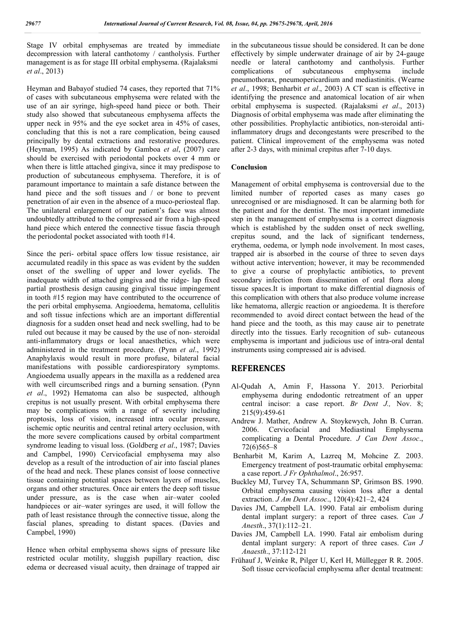Stage IV orbital emphysemas are treated by immediate decompression with lateral canthotomy / cantholysis. Further management is as for stage III orbital emphysema. (Rajalaksmi *et al*., 2013)

Heyman and Babayof studied 74 cases, they reported that 71% of cases with subcutaneous emphysema were related with the use of an air syringe, high-speed hand piece or both. Their study also showed that subcutaneous emphysema affects the upper neck in 95% and the eye socket area in 45% of cases, concluding that this is not a rare complication, being caused principally by dental extractions and restorative procedures. (Heyman, 1995) As indicated by Gamboa *et al*, (2007) care should be exercised with periodontal pockets over 4 mm or when there is little attached gingiva, since it may predispose to production of subcutaneous emphysema. Therefore, it is of paramount importance to maintain a safe distance between the hand piece and the soft tissues and / or bone to prevent penetration of air even in the absence of a muco-periosteal flap. The unilateral enlargement of our patient's face was almost undoubtedly attributed to the compressed air from a high-speed hand piece which entered the connective tissue fascia through the periodontal pocket associated with tooth #14.

Since the peri- orbital space offers low tissue resistance, air accumulated readily in this space as was evident by the sudden onset of the swelling of upper and lower eyelids. The inadequate width of attached gingiva and the ridge- lap fixed partial prosthesis design causing gingival tissue impingement in tooth #15 region may have contributed to the occurrence of the peri orbital emphysema. Angioedema, hematoma, cellulitis and soft tissue infections which are an important differential diagnosis for a sudden onset head and neck swelling, had to be ruled out because it may be caused by the use of non- steroidal anti-inflammatory drugs or local anaesthetics, which were administered in the treatment procedure. (Pynn *et al*., 1992) Anaphylaxis would result in more profuse, bilateral facial manifestations with possible cardiorespiratory symptoms. Angioedema usually appears in the maxilla as a reddened area with well circumscribed rings and a burning sensation. (Pynn *et al*., 1992) Hematoma can also be suspected, although crepitus is not usually present. With orbital emphysema there may be complications with a range of severity including proptosis, loss of vision, increased intra ocular pressure, ischemic optic neuritis and central retinal artery occlusion, with the more severe complications caused by orbital compartment syndrome leading to visual loss. (Goldberg *et al*., 1987; Davies and Campbel, 1990) Cervicofacial emphysema may also develop as a result of the introduction of air into fascial planes of the head and neck. These planes consist of loose connective tissue containing potential spaces between layers of muscles, organs and other structures. Once air enters the deep soft tissue under pressure, as is the case when air–water cooled handpieces or air–water syringes are used, it will follow the path of least resistance through the connective tissue, along the fascial planes, spreading to distant spaces. (Davies and Campbel, 1990)

Hence when orbital emphysema shows signs of pressure like restricted ocular motility, sluggish pupillary reaction, disc edema or decreased visual acuity, then drainage of trapped air in the subcutaneous tissue should be considered. It can be done effectively by simple underwater drainage of air by 24-gauge needle or lateral canthotomy and cantholysis. Further complications of subcutaneous emphysema include pneumothorax, pneumopericardium and mediastinitis. (Wearne *et al*., 1998; Benharbit *et al*., 2003) A CT scan is effective in identifying the presence and anatomical location of air when orbital emphysema is suspected. (Rajalaksmi *et al*., 2013) Diagnosis of orbital emphysema was made after eliminating the other possibilities. Prophylactic antibiotics, non-steroidal antiinflammatory drugs and decongestants were prescribed to the patient. Clinical improvement of the emphysema was noted after 2-3 days, with minimal crepitus after 7-10 days.

#### **Conclusion**

Management of orbital emphysema is controversial due to the limited number of reported cases as many cases go unrecognised or are misdiagnosed. It can be alarming both for the patient and for the dentist. The most important immediate step in the management of emphysema is a correct diagnosis which is established by the sudden onset of neck swelling, crepitus sound, and the lack of significant tenderness, erythema, oedema, or lymph node involvement. In most cases, trapped air is absorbed in the course of three to seven days without active intervention; however, it may be recommended to give a course of prophylactic antibiotics, to prevent secondary infection from dissemination of oral flora along tissue spaces.It is important to make differential diagnosis of this complication with others that also produce volume increase like hematoma, allergic reaction or angioedema. It is therefore recommended to avoid direct contact between the head of the hand piece and the tooth, as this may cause air to penetrate directly into the tissues. Early recognition of sub- cutaneous emphysema is important and judicious use of intra-oral dental instruments using compressed air is advised.

### **REFERENCES**

- Al-Qudah A, Amin F, Hassona Y. 2013. Periorbital emphysema during endodontic retreatment of an upper central incisor: a case report. *Br Dent J.,* Nov. 8; 215(9):459-61
- Andrew J. Mather, Andrew A. Stoykewych, John B. Curran. 2006. Cervicofacial and Mediastinal Emphysema complicating a Dental Procedure. *J Can Dent Assoc*., 72(6)565–8
- Benharbit M, Karim A, Lazreq M, Mohcine Z. 2003. Emergency treatment of post-traumatic orbital emphysema: a case report. *J Fr Ophthalmol*., 26:957.
- Buckley MJ, Turvey TA, Schummann SP, Grimson BS. 1990. Orbital emphysema causing vision loss after a dental extraction. *J Am Dent Assoc*., 120(4):421–2, 424
- Davies JM, Campbell LA. 1990. Fatal air embolism during dental implant surgery: a report of three cases. *Can J Anesth*., 37(1):112–21.
- Davies JM, Campbell LA. 1990. Fatal air embolism during dental implant surgery: A report of three cases. *Can J Anaesth*., 37:112-121
- Frühauf J, Weinke R, Pilger U, Kerl H, Müllegger R R. 2005. Soft tissue cervicofacial emphysema after dental treatment: